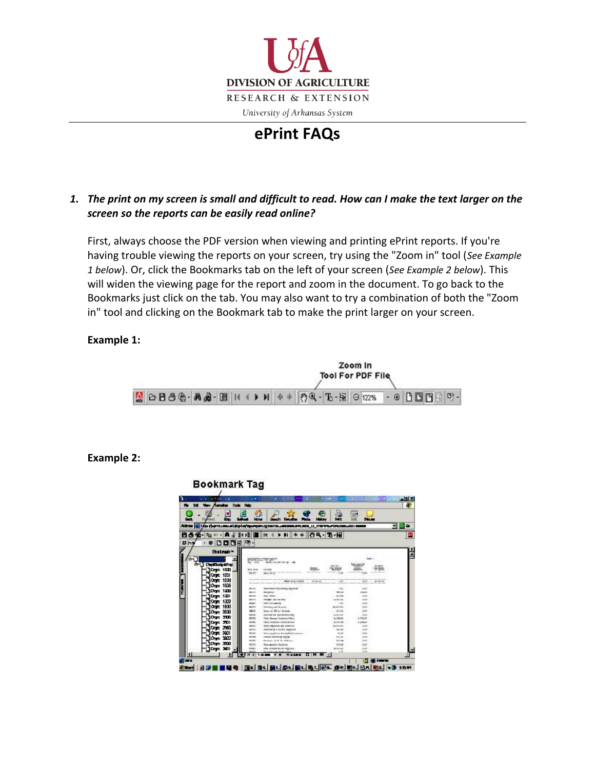

# **ePrint FAQs**

## *1. The print on my screen is small and difficult to read. How can I make the text larger on the screen so the reports can be easily read online?*

First, always choose the PDF version when viewing and printing ePrint reports. If you're having trouble viewing the reports on your screen, try using the "Zoom in" tool (*See Example 1 below*). Or, click the Bookmarks tab on the left of your screen (*See Example 2 below*). This will widen the viewing page for the report and zoom in the [document.](http://www.uaex.edu/depts/financial_services/budget/eprint.htm) To go back to the Bookmarks just click on the tab. You may also want to try a combination of both the "Zoom in" tool and clicking on the Bookmark tab to make the print larger on your screen.

### **Example 1:**



#### **Example 2:**